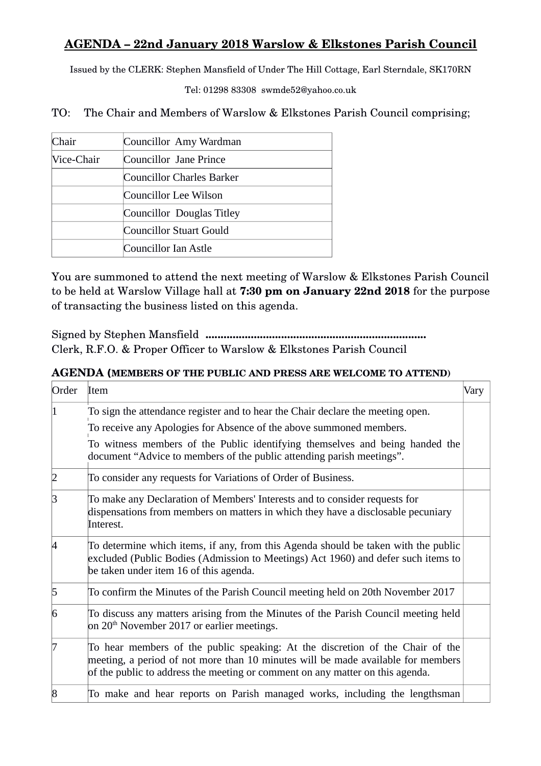## **AGENDA – 22nd January 2018 Warslow & Elkstones Parish Council**

Issued by the CLERK: Stephen Mansfield of Under The Hill Cottage, Earl Sterndale, SK170RN

Tel: 01298 83308 swmde52@yahoo.co.uk

TO: The Chair and Members of Warslow & Elkstones Parish Council comprising;

| Chair      | Councillor Amy Wardman    |
|------------|---------------------------|
| Vice-Chair | Councillor Jane Prince    |
|            | Councillor Charles Barker |
|            | Councillor Lee Wilson     |
|            | Councillor Douglas Titley |
|            | Councillor Stuart Gould   |
|            | Councillor Ian Astle      |

You are summoned to attend the next meeting of Warslow & Elkstones Parish Council to be held at Warslow Village hall at **7:30 pm on January 22nd 2018** for the purpose of transacting the business listed on this agenda.

Signed by Stephen Mansfield **.........................................................................** Clerk, R.F.O. & Proper Officer to Warslow & Elkstones Parish Council

## **AGENDA (MEMBERS OF THE PUBLIC AND PRESS ARE WELCOME TO ATTEND)**

| Order        | Item                                                                                                                                                                                                                                               | Vary |
|--------------|----------------------------------------------------------------------------------------------------------------------------------------------------------------------------------------------------------------------------------------------------|------|
|              | To sign the attendance register and to hear the Chair declare the meeting open.<br>To receive any Apologies for Absence of the above summoned members.                                                                                             |      |
|              | To witness members of the Public identifying themselves and being handed the<br>document "Advice to members of the public attending parish meetings".                                                                                              |      |
|              | To consider any requests for Variations of Order of Business.                                                                                                                                                                                      |      |
| ß            | To make any Declaration of Members' Interests and to consider requests for<br>dispensations from members on matters in which they have a disclosable pecuniary<br>Interest.                                                                        |      |
|              | To determine which items, if any, from this Agenda should be taken with the public<br>excluded (Public Bodies (Admission to Meetings) Act 1960) and defer such items to<br>be taken under item 16 of this agenda.                                  |      |
| 5            | To confirm the Minutes of the Parish Council meeting held on 20th November 2017                                                                                                                                                                    |      |
| 6            | To discuss any matters arising from the Minutes of the Parish Council meeting held<br>on $20th$ November 2017 or earlier meetings.                                                                                                                 |      |
|              | To hear members of the public speaking: At the discretion of the Chair of the<br>meeting, a period of not more than 10 minutes will be made available for members<br>of the public to address the meeting or comment on any matter on this agenda. |      |
| <sup>8</sup> | To make and hear reports on Parish managed works, including the lengthsman                                                                                                                                                                         |      |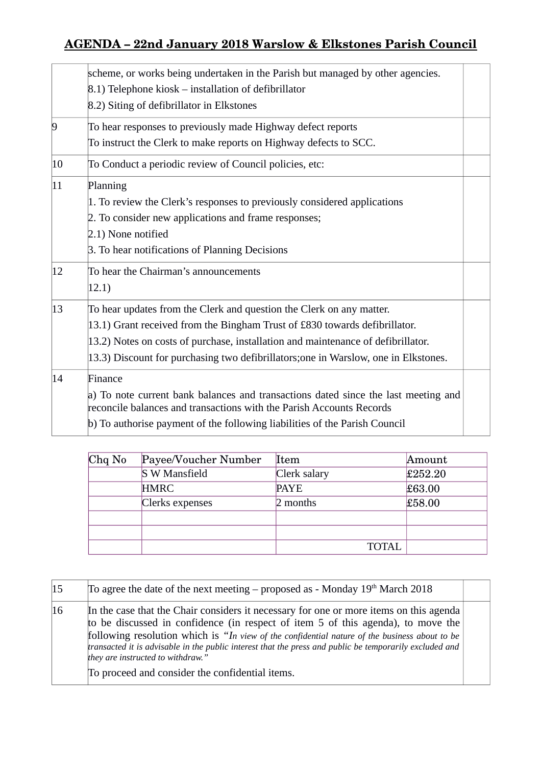## **AGENDA – 22nd January 2018 Warslow & Elkstones Parish Council**

|                | scheme, or works being undertaken in the Parish but managed by other agencies.<br>8.1) Telephone kiosk – installation of defibrillator<br>8.2) Siting of defibrillator in Elkstones                                                                                                                                           |  |
|----------------|-------------------------------------------------------------------------------------------------------------------------------------------------------------------------------------------------------------------------------------------------------------------------------------------------------------------------------|--|
| $\overline{9}$ | To hear responses to previously made Highway defect reports<br>To instruct the Clerk to make reports on Highway defects to SCC.                                                                                                                                                                                               |  |
| $ 10\rangle$   | To Conduct a periodic review of Council policies, etc:                                                                                                                                                                                                                                                                        |  |
| $ 11\rangle$   | Planning<br>1. To review the Clerk's responses to previously considered applications<br>2. To consider new applications and frame responses;<br>2.1) None notified<br>3. To hear notifications of Planning Decisions                                                                                                          |  |
| 12             | To hear the Chairman's announcements<br>12.1)                                                                                                                                                                                                                                                                                 |  |
| $ 13\rangle$   | To hear updates from the Clerk and question the Clerk on any matter.<br>13.1) Grant received from the Bingham Trust of £830 towards defibrillator.<br>13.2) Notes on costs of purchase, installation and maintenance of defibrillator.<br>13.3) Discount for purchasing two defibrillators; one in Warslow, one in Elkstones. |  |
| 14             | Finance<br>a) To note current bank balances and transactions dated since the last meeting and<br>reconcile balances and transactions with the Parish Accounts Records<br>b) To authorise payment of the following liabilities of the Parish Council                                                                           |  |

| $Chq$ No | Payee/Voucher Number | Item         | Amount  |
|----------|----------------------|--------------|---------|
|          | S W Mansfield        | Clerk salary | £252.20 |
|          | <b>HMRC</b>          | <b>PAYE</b>  | £63.00  |
|          | Clerks expenses      | 2 months     | £58.00  |
|          |                      |              |         |
|          |                      |              |         |
|          |                      | TOTAL        |         |

| 15 | To agree the date of the next meeting – proposed as - Monday $19th$ March 2018                                                                                                                                                                                                                                                                                                                                              |  |
|----|-----------------------------------------------------------------------------------------------------------------------------------------------------------------------------------------------------------------------------------------------------------------------------------------------------------------------------------------------------------------------------------------------------------------------------|--|
| 16 | In the case that the Chair considers it necessary for one or more items on this agenda<br>to be discussed in confidence (in respect of item 5 of this agenda), to move the<br>following resolution which is "In view of the confidential nature of the business about to be<br>transacted it is advisable in the public interest that the press and public be temporarily excluded and<br>they are instructed to withdraw." |  |
|    | To proceed and consider the confidential items.                                                                                                                                                                                                                                                                                                                                                                             |  |